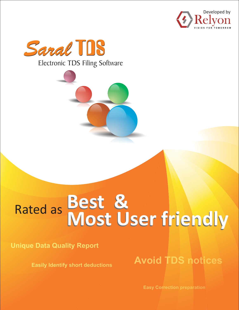



# **Best & Most User friendly** Rated as **Best & Most User friendly**

**Unique Data Quality Report**

**Easily Identify short deductions**

# **Avoid TDS notices**

**Easy Correction preparation**